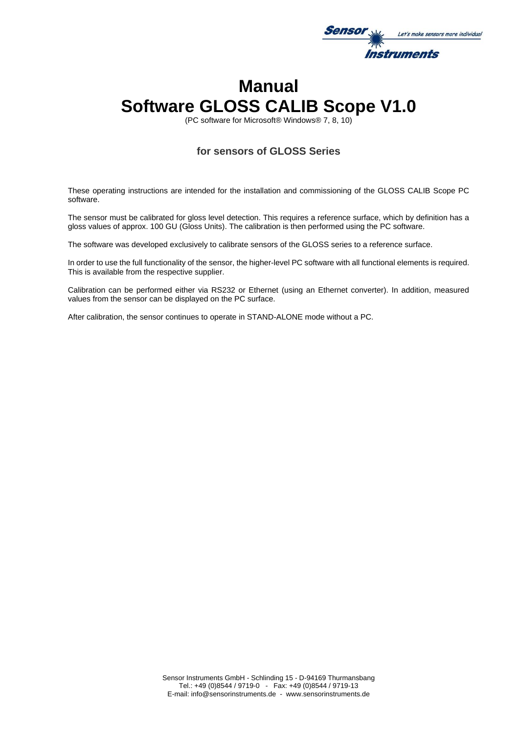

# **Manual Software GLOSS CALIB Scope V1.0**

(PC software for Microsoft® Windows® 7, 8, 10)

### **for sensors of GLOSS Series**

These operating instructions are intended for the installation and commissioning of the GLOSS CALIB Scope PC software.

The sensor must be calibrated for gloss level detection. This requires a reference surface, which by definition has a gloss values of approx. 100 GU (Gloss Units). The calibration is then performed using the PC software.

The software was developed exclusively to calibrate sensors of the GLOSS series to a reference surface.

In order to use the full functionality of the sensor, the higher-level PC software with all functional elements is required. This is available from the respective supplier.

Calibration can be performed either via RS232 or Ethernet (using an Ethernet converter). In addition, measured values from the sensor can be displayed on the PC surface.

After calibration, the sensor continues to operate in STAND-ALONE mode without a PC.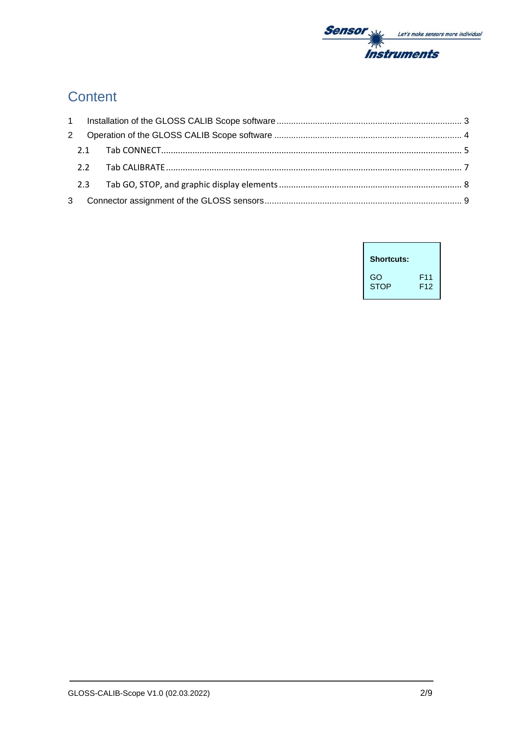

# Content

| <b>Shortcuts:</b> |                 |
|-------------------|-----------------|
| GO                | F11             |
| <b>STOP</b>       | F <sub>12</sub> |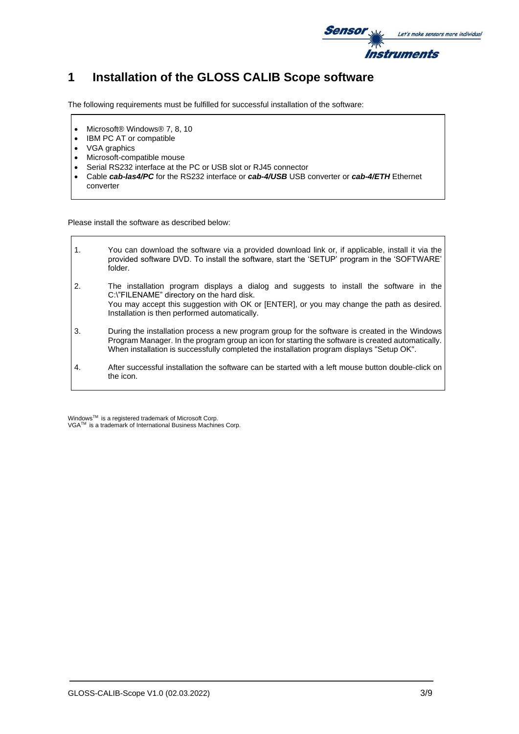

## <span id="page-2-0"></span>**1 Installation of the GLOSS CALIB Scope software**

The following requirements must be fulfilled for successful installation of the software:

- Microsoft® Windows® 7, 8, 10
- IBM PC AT or compatible
- VGA graphics
- Microsoft-compatible mouse
- Serial RS232 interface at the PC or USB slot or RJ45 connector
- Cable *cab-las4/PC* for the RS232 interface or *cab-4/USB* USB converter or *cab-4/ETH* Ethernet converter

Please install the software as described below:

1. You can download the software via a provided download link or, if applicable, install it via the provided software DVD. To install the software, start the 'SETUP' program in the 'SOFTWARE' folder. 2. The installation program displays a dialog and suggests to install the software in the C:\"FILENAME" directory on the hard disk. You may accept this suggestion with OK or [ENTER], or you may change the path as desired. Installation is then performed automatically. 3. During the installation process a new program group for the software is created in the Windows Program Manager. In the program group an icon for starting the software is created automatically. When installation is successfully completed the installation program displays "Setup OK". 4. After successful installation the software can be started with a left mouse button double-click on the icon.

WindowsTM is a registered trademark of Microsoft Corp.

VGATM is a trademark of International Business Machines Corp.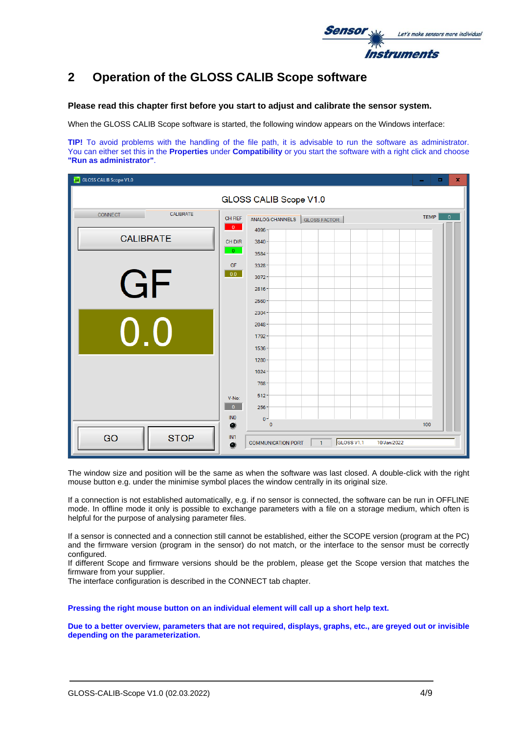

## <span id="page-3-0"></span>**2 Operation of the GLOSS CALIB Scope software**

#### **Please read this chapter first before you start to adjust and calibrate the sensor system.**

When the GLOSS CALIB Scope software is started, the following window appears on the Windows interface:

**TIP!** To avoid problems with the handling of the file path, it is advisable to run the software as administrator. You can either set this in the **Properties** under **Compatibility** or you start the software with a right click and choose **"Run as administrator"**.

| GLOSS CALIB Scope V1.0      |                                                                | $\mathbf x$<br>$\sim$                                                                                  |  |  |  |
|-----------------------------|----------------------------------------------------------------|--------------------------------------------------------------------------------------------------------|--|--|--|
| GLOSS CALIB Scope V1.0      |                                                                |                                                                                                        |  |  |  |
| CALIBRATE<br><b>CONNECT</b> | TEMP<br>$\Omega$<br>ANALOG CHANNELS<br>GLOSS FACTOR            |                                                                                                        |  |  |  |
| <b>CALIBRATE</b>            | $\bullet$<br><b>CH DIR</b><br>0                                | 4096<br>$3840 -$<br>3584                                                                               |  |  |  |
| GF                          | GF<br>0.0                                                      | $3328 -$<br>$3072 -$<br>2816<br>$2560 -$                                                               |  |  |  |
| 0.0                         |                                                                | 2304<br>2048<br>$1792 -$<br>$1536 -$                                                                   |  |  |  |
|                             | V-No:                                                          | $1280 -$<br>$1024 -$<br>$768 -$<br>$512 -$                                                             |  |  |  |
| <b>STOP</b><br>GO           | $\overline{0}$<br>IN <sub>0</sub><br>۰<br>IN <sub>1</sub><br>۰ | $256 -$<br>$0 -$<br>$\mathbf{0}$<br>100<br>GLOSS V1.1<br>10/Jan/2022<br><b>COMMUNICATION PORT</b><br>1 |  |  |  |

The window size and position will be the same as when the software was last closed. A double-click with the right mouse button e.g. under the minimise symbol places the window centrally in its original size.

If a connection is not established automatically, e.g. if no sensor is connected, the software can be run in OFFLINE mode. In offline mode it only is possible to exchange parameters with a file on a storage medium, which often is helpful for the purpose of analysing parameter files.

If a sensor is connected and a connection still cannot be established, either the SCOPE version (program at the PC) and the firmware version (program in the sensor) do not match, or the interface to the sensor must be correctly configured.

If different Scope and firmware versions should be the problem, please get the Scope version that matches the firmware from your supplier.

The interface configuration is described in the CONNECT tab chapter.

**Pressing the right mouse button on an individual element will call up a short help text.**

**Due to a better overview, parameters that are not required, displays, graphs, etc., are greyed out or invisible depending on the parameterization.**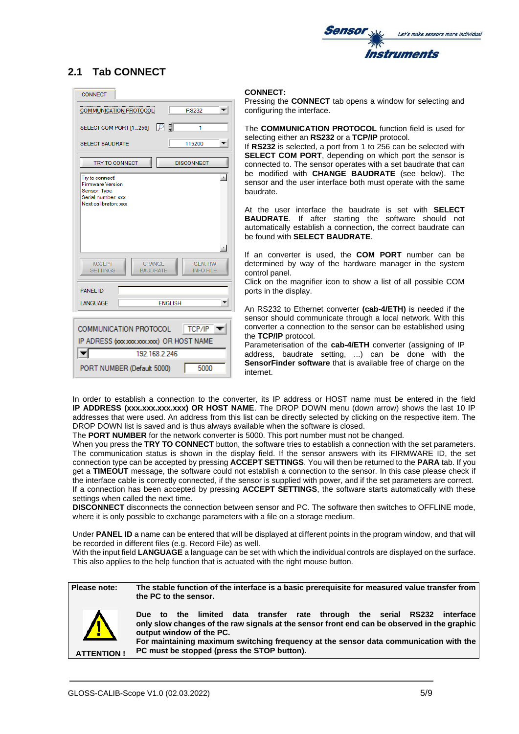

### <span id="page-4-0"></span>**2.1 Tab CONNECT**



#### **CONNECT:**

Pressing the **CONNECT** tab opens a window for selecting and configuring the interface.

The **COMMUNICATION PROTOCOL** function field is used for selecting either an **RS232** or a **TCP/IP** protocol.

If **RS232** is selected, a port from 1 to 256 can be selected with **SELECT COM PORT**, depending on which port the sensor is connected to. The sensor operates with a set baudrate that can be modified with **CHANGE BAUDRATE** (see below). The sensor and the user interface both must operate with the same baudrate.

At the user interface the baudrate is set with **SELECT BAUDRATE**. If after starting the software should not automatically establish a connection, the correct baudrate can be found with **SELECT BAUDRATE**.

If an converter is used, the **COM PORT** number can be determined by way of the hardware manager in the system control panel.

Click on the magnifier icon to show a list of all possible COM ports in the display.

An RS232 to Ethernet converter **(cab-4/ETH)** is needed if the sensor should communicate through a local network. With this converter a connection to the sensor can be established using the **TCP/IP** protocol.

Parameterisation of the **cab-4/ETH** converter (assigning of IP address, baudrate setting, ...) can be done with the **SensorFinder software** that is available free of charge on the internet.

In order to establish a connection to the converter, its IP address or HOST name must be entered in the field **IP ADDRESS (xxx.xxx.xxx.xxx) OR HOST NAME**. The DROP DOWN menu (down arrow) shows the last 10 IP addresses that were used. An address from this list can be directly selected by clicking on the respective item. The DROP DOWN list is saved and is thus always available when the software is closed.

The **PORT NUMBER** for the network converter is 5000. This port number must not be changed.

When you press the **TRY TO CONNECT** button, the software tries to establish a connection with the set parameters. The communication status is shown in the display field. If the sensor answers with its FIRMWARE ID, the set connection type can be accepted by pressing **ACCEPT SETTINGS**. You will then be returned to the **PARA** tab. If you get a **TIMEOUT** message, the software could not establish a connection to the sensor. In this case please check if the interface cable is correctly connected, if the sensor is supplied with power, and if the set parameters are correct. If a connection has been accepted by pressing **ACCEPT SETTINGS**, the software starts automatically with these settings when called the next time.

**DISCONNECT** disconnects the connection between sensor and PC. The software then switches to OFFLINE mode, where it is only possible to exchange parameters with a file on a storage medium.

Under **PANEL ID** a name can be entered that will be displayed at different points in the program window, and that will be recorded in different files (e.g. Record File) as well.

With the input field **LANGUAGE** a language can be set with which the individual controls are displayed on the surface. This also applies to the help function that is actuated with the right mouse button.

**Please note: The stable function of the interface is a basic prerequisite for measured value transfer from the PC to the sensor. ATTENTION ! Due to the limited data transfer rate through the serial RS232 interface only slow changes of the raw signals at the sensor front end can be observed in the graphic output window of the PC. For maintaining maximum switching frequency at the sensor data communication with the PC must be stopped (press the STOP button).**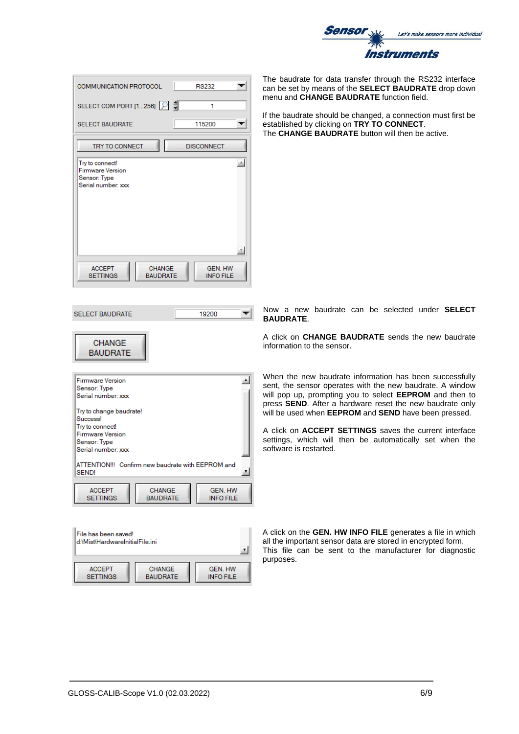

| <b>COMMUNICATION PROTOCOL</b>                                                                                                                                                     | <b>RS232</b>                                 |
|-----------------------------------------------------------------------------------------------------------------------------------------------------------------------------------|----------------------------------------------|
| SELECT COM PORT [1256] $\boxed{)}$                                                                                                                                                | 1                                            |
| <b>SELECT BAUDRATE</b>                                                                                                                                                            | 115200                                       |
| <b>TRY TO CONNECT</b>                                                                                                                                                             | <b>DISCONNECT</b>                            |
| Try to connect!<br><b>Firmware Version</b><br>Sensor: Type<br>Serial number: xxx                                                                                                  | $\mathbb{A}$                                 |
| <b>ACCEPT</b><br><b>CHANGE</b><br><b>SETTINGS</b><br><b>BAUDRATE</b>                                                                                                              | $\tau$<br><b>GEN. HW</b><br><b>INFO FILE</b> |
| <b>SELECT BAUDRATE</b>                                                                                                                                                            | 19200                                        |
| CHANGE<br><b>BAUDRATE</b>                                                                                                                                                         |                                              |
| Firmware Version<br>Sensor: Type<br>Serial number: xxx<br>Try to change baudrate!<br>Success!<br>Try to connect!<br><b>Firmware Version</b><br>Sensor: Type<br>Serial number: xxx | 희                                            |

The baudrate for data transfer through the RS232 interface can be set by means of the **SELECT BAUDRATE** drop down menu and **CHANGE BAUDRATE** function field.

If the baudrate should be changed, a connection must first be established by clicking on **TRY TO CONNECT**. The **CHANGE BAUDRATE** button will then be active.

Now a new baudrate can be selected under **SELECT BAUDRATE**.

A click on **CHANGE BAUDRATE** sends the new baudrate information to the sensor.

When the new baudrate information has been successfully sent, the sensor operates with the new baudrate. A window will pop up, prompting you to select **EEPROM** and then to press **SEND**. After a hardware reset the new baudrate only will be used when **EEPROM** and **SEND** have been pressed.

A click on **ACCEPT SETTINGS** saves the current interface settings, which will then be automatically set when the software is restarted.

A click on the **GEN. HW INFO FILE** generates a file in which all the important sensor data are stored in encrypted form. This file can be sent to the manufacturer for diagnostic purposes.

| File has been saved!<br>d:\Mist\HardwareInitialFile.ini |                 |                  |  |  |  |
|---------------------------------------------------------|-----------------|------------------|--|--|--|
| <b>ACCEPT</b>                                           | <b>CHANGE</b>   | <b>GEN. HW</b>   |  |  |  |
| <b>SETTINGS</b>                                         | <b>BAUDRATE</b> | <b>INFO FILE</b> |  |  |  |

ATTENTION!!! Confirm new baudrate with EEPROM and

CHANGE

**BAUDRATE** 

 $\mathbf{v}$ 

**GEN, HW** 

**INFO FILE** 

SEND!

**ACCEPT** 

**SETTINGS**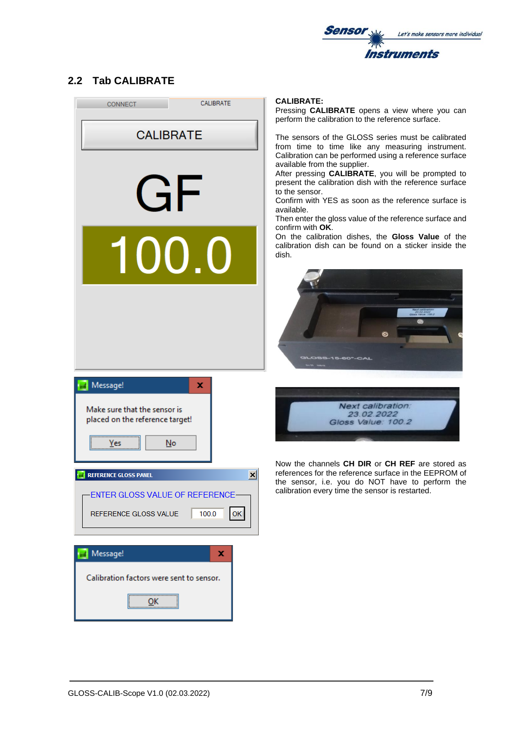

### <span id="page-6-0"></span>**2.2 Tab CALIBRATE**



#### **CALIBRATE:**

Pressing **CALIBRATE** opens a view where you can perform the calibration to the reference surface.

The sensors of the GLOSS series must be calibrated from time to time like any measuring instrument. Calibration can be performed using a reference surface available from the supplier.

After pressing **CALIBRATE**, you will be prompted to present the calibration dish with the reference surface to the sensor.

Confirm with YES as soon as the reference surface is available.

Then enter the gloss value of the reference surface and confirm with **OK**.

On the calibration dishes, the **Gloss Value** of the calibration dish can be found on a sticker inside the dish.





Now the channels **CH DIR** or **CH REF** are stored as references for the reference surface in the EEPROM of the sensor, i.e. you do NOT have to perform the calibration every time the sensor is restarted.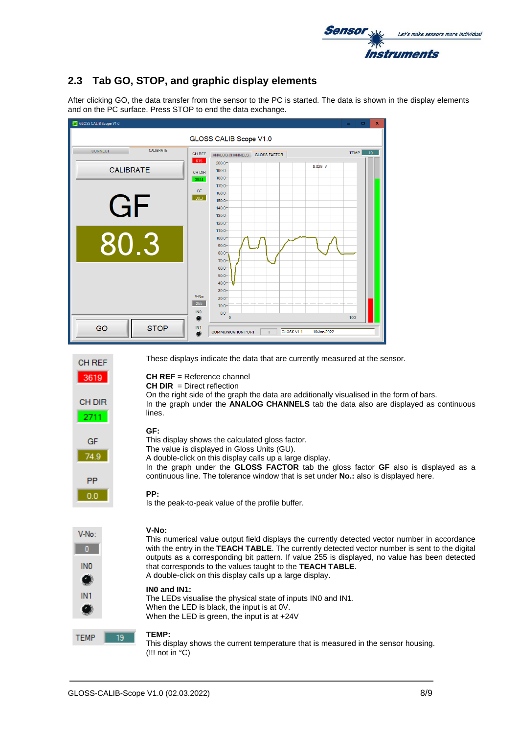

## <span id="page-7-0"></span>**2.3 Tab GO, STOP, and graphic display elements**

After clicking GO, the data transfer from the sensor to the PC is started. The data is shown in the display elements and on the PC surface. Press STOP to end the data exchange.

| GLOSS CALIB Scope V1.0<br>$\mathbf x$<br>o. |                                                                                                                                                                          |            |  |  |
|---------------------------------------------|--------------------------------------------------------------------------------------------------------------------------------------------------------------------------|------------|--|--|
| GLOSS CALIB Scope V1.0                      |                                                                                                                                                                          |            |  |  |
| CALIBRATE<br><b>CONNECT</b>                 | CH REF<br><b>GLOSS FACTOR</b><br>ANALOG CHANNELS<br>615                                                                                                                  | TEMP<br>10 |  |  |
| <b>CALIBRATE</b><br>GF                      | $200.0 -$<br>8.029 V<br>190.0 <sup>1</sup><br><b>CH DIR</b><br>$180.0 -$<br>3584<br>$170.0 -$<br>GF<br>$160.0 -$<br>80.3<br>150.0 <sup>°</sup><br>$140.0 -$<br>$130.0 -$ |            |  |  |
| 80.3                                        | $120.0 -$<br>110.0 <sup>°</sup><br>$100.0 -$<br>$90.0 -$<br>80.0 <sup>1</sup><br>$70.0 -$                                                                                |            |  |  |
|                                             | 60.0 <sup>1</sup><br>$50.0 -$<br>40.0 <sup>°</sup><br>30.0 <sup>1</sup><br>V-No:<br>$20.0 -$<br>255<br>$10.0 -$<br><b>INO</b><br>$0.0 -$<br>$\Omega$<br>۰                | 100        |  |  |
| GO<br><b>STOP</b>                           | IN <sub>1</sub><br>GLOSS V1.1<br>10/Jan/2022<br><b>COMMUNICATION PORT</b><br>1<br>O)                                                                                     |            |  |  |

| <b>CH REF</b>                                 | These displays indicate the data that are currently measured at the sensor.                                                                                                                                                                                                                                                                                                                                                          |
|-----------------------------------------------|--------------------------------------------------------------------------------------------------------------------------------------------------------------------------------------------------------------------------------------------------------------------------------------------------------------------------------------------------------------------------------------------------------------------------------------|
| 3619<br><b>CH DIR</b><br>2711                 | $CH$ REF = Reference channel<br>$CH$ DIR = Direct reflection<br>On the right side of the graph the data are additionally visualised in the form of bars.<br>In the graph under the ANALOG CHANNELS tab the data also are displayed as continuous<br>lines.                                                                                                                                                                           |
| <b>GF</b><br>74.9<br><b>PP</b>                | GF:<br>This display shows the calculated gloss factor.<br>The value is displayed in Gloss Units (GU).<br>A double-click on this display calls up a large display.<br>In the graph under the <b>GLOSS FACTOR</b> tab the gloss factor <b>GF</b> also is displayed as a<br>continuous line. The tolerance window that is set under No.: also is displayed here.<br>PP:                                                                 |
| 0.0                                           | Is the peak-to-peak value of the profile buffer.                                                                                                                                                                                                                                                                                                                                                                                     |
| V-No:<br>$\mathbf{0}$<br>IN <sub>0</sub><br>Ø | $V-No:$<br>This numerical value output field displays the currently detected vector number in accordance<br>with the entry in the TEACH TABLE. The currently detected vector number is sent to the digital<br>outputs as a corresponding bit pattern. If value 255 is displayed, no value has been detected<br>that corresponds to the values taught to the TEACH TABLE.<br>A double-click on this display calls up a large display. |
| IN <sub>1</sub>                               | INO and IN1:<br>The LEDs visualise the physical state of inputs IN0 and IN1.<br>When the LED is black, the input is at OV.<br>When the LED is green, the input is at $+24V$                                                                                                                                                                                                                                                          |

**TEMP:**

This display shows the current temperature that is measured in the sensor housing. (!!! not in  $\mathrm{^{\circ}C}$ )

 $19$ 

**TEMP**